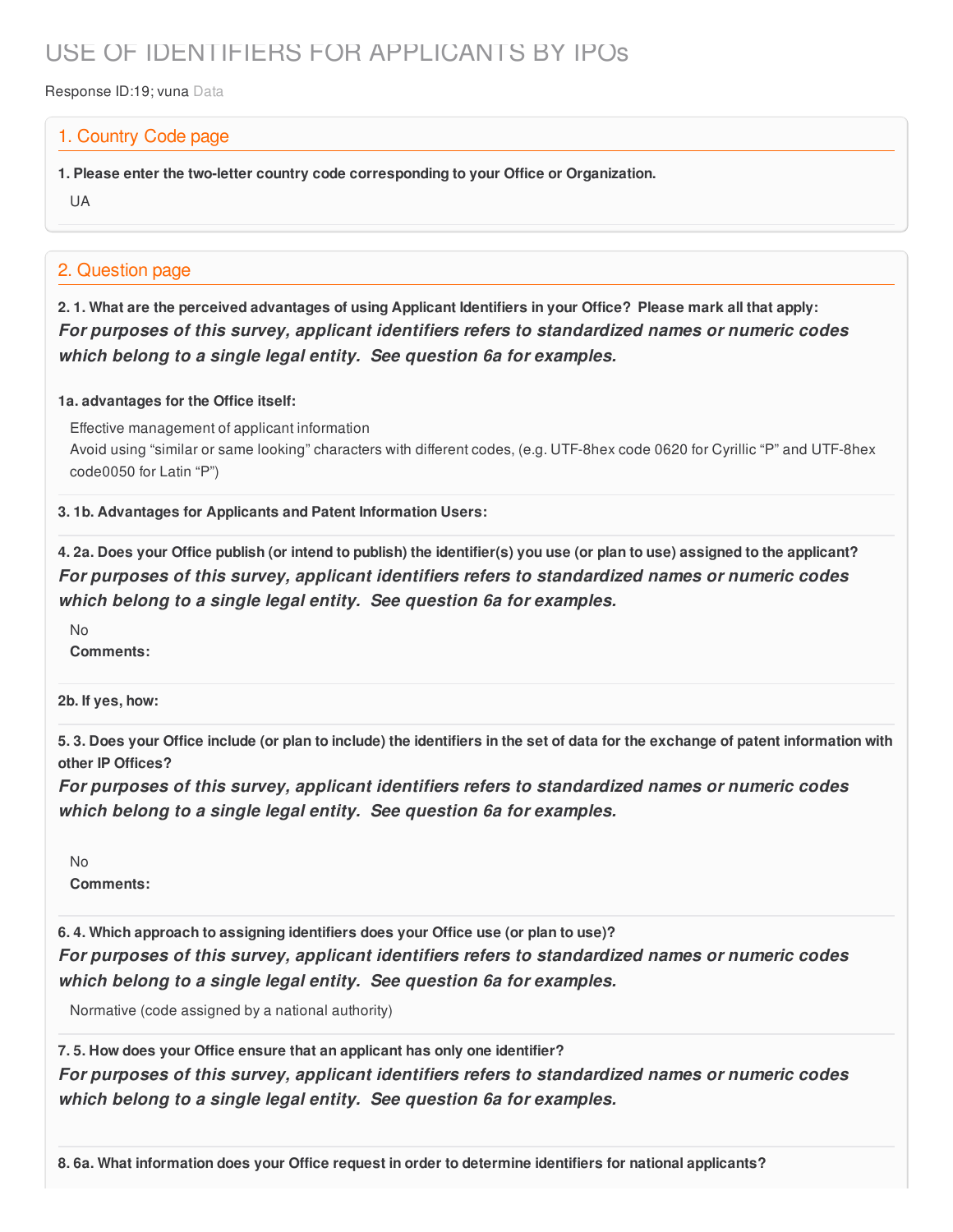# USE OF IDENTIFIERS FOR APPLICANTS BY IPOs

Response ID:19; vuna Data

#### 1. Country Code page

**1. Please enter the two-letter country code corresponding to your Office or Organization.**

UA

### 2. Question page

2.1. What are the perceived advantages of using Applicant Identifiers in your Office? Please mark all that apply: *For purposes of this survey, applicant identifiers refers to standardized names or numeric codes which belong to a single legal entity. See question 6a for examples.*

#### **1a. advantages for the Office itself:**

Effective management of applicant information

Avoid using "similar or same looking" characters with different codes, (e.g. UTF-8hex code 0620 for Cyrillic "P" and UTF-8hex code0050 for Latin "P")

**3. 1b. Advantages for Applicants and Patent Information Users:**

4. 2a. Does your Office publish (or intend to publish) the identifier(s) you use (or plan to use) assigned to the applicant? *For purposes of this survey, applicant identifiers refers to standardized names or numeric codes which belong to a single legal entity. See question 6a for examples.*

No **Comments:**

**2b. If yes, how:**

5.3. Does your Office include (or plan to include) the identifiers in the set of data for the exchange of patent information with **other IP Offices?**

*For purposes of this survey, applicant identifiers refers to standardized names or numeric codes which belong to a single legal entity. See question 6a for examples.*

 $N<sub>0</sub>$ 

**Comments:**

**6. 4. Which approach to assigning identifiers does your Office use (or plan to use)?** *For purposes of this survey, applicant identifiers refers to standardized names or numeric codes which belong to a single legal entity. See question 6a for examples.*

Normative (code assigned by a national authority)

**7. 5. How does your Office ensure that an applicant has only one identifier?** *For purposes of this survey, applicant identifiers refers to standardized names or numeric codes which belong to a single legal entity. See question 6a for examples.*

**8. 6a. What information does your Office request in order to determine identifiers for national applicants?**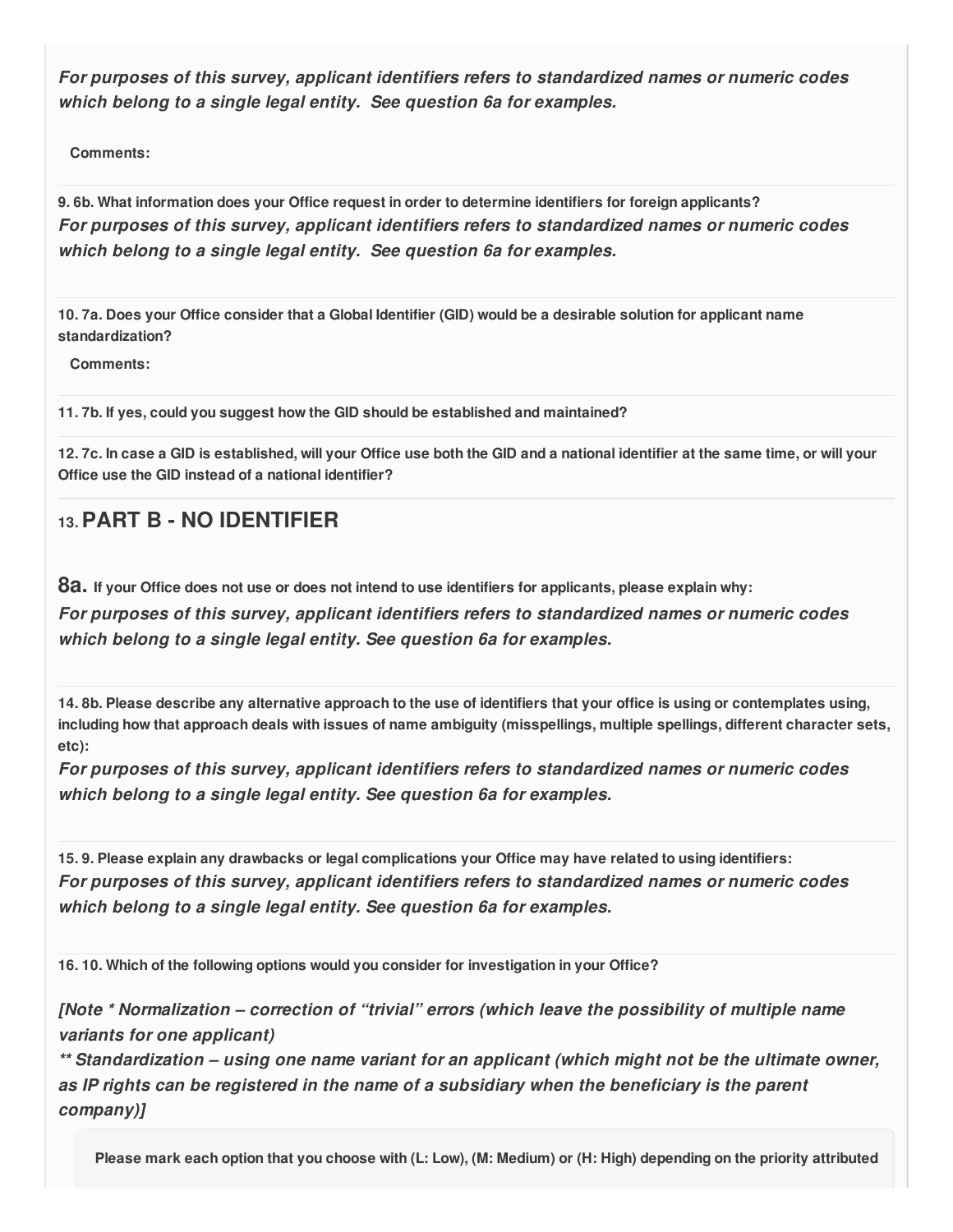*For purposes of this survey, applicant identifiers refers to standardized names or numeric codes which belong to a single legal entity. See question 6a for examples.*

**Comments:**

**9. 6b. What information does your Office request in order to determine identifiers for foreign applicants?** *For purposes of this survey, applicant identifiers refers to standardized names or numeric codes which belong to a single legal entity. See question 6a for examples.*

10.7a. Does your Office consider that a Global Identifier (GID) would be a desirable solution for applicant name **standardization?**

**Comments:**

**11. 7b. If yes, could you suggest how the GID should be established and maintained?**

12.7c. In case a GID is established, will your Office use both the GID and a national identifier at the same time, or will your **Office use the GID instead of a national identifier?**

## **13.PART B - NO IDENTIFIER**

82. If your Office does not use or does not intend to use identifiers for applicants, please explain why: *For purposes of this survey, applicant identifiers refers to standardized names or numeric codes which belong to a single legal entity. See question 6a for examples.*

14.8b. Please describe any alternative approach to the use of identifiers that your office is using or contemplates using, including how that approach deals with issues of name ambiguity (misspellings, multiple spellings, different character sets, **etc):**

*For purposes of this survey, applicant identifiers refers to standardized names or numeric codes which belong to a single legal entity. See question 6a for examples.*

15.9. Please explain any drawbacks or legal complications your Office may have related to using identifiers: *For purposes of this survey, applicant identifiers refers to standardized names or numeric codes which belong to a single legal entity. See question 6a for examples.*

**16. 10. Which of the following options would you consider for investigation in your Office?**

*[Note \* Normalization – correction of "trivial" errors (which leave the possibility of multiple name variants for one applicant)*

*\*\* Standardization – using one name variant for an applicant (which might not be the ultimate owner, as IP rights can be registered in the name of a subsidiary when the beneficiary is the parent company)]*

Please mark each option that you choose with (L: Low), (M: Medium) or (H: High) depending on the priority attributed